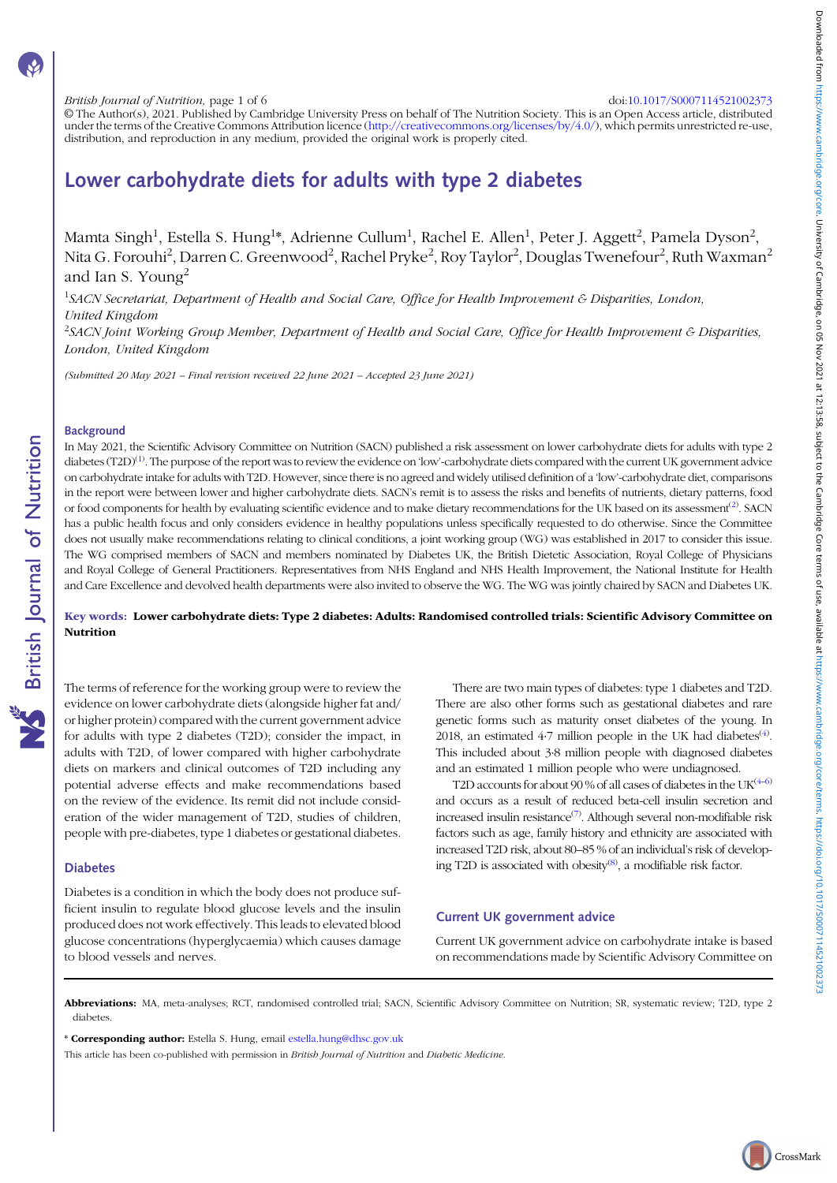#### British Journal of Nutrition, page 1 of 6 doi:[10.1017/S0007114521002373](https://doi.org/10.1017/S0007114521002373)

© The Author(s), 2021. Published by Cambridge University Press on behalf of The Nutrition Society. This is an Open Access article, distributed under the terms of the Creative Commons Attribution licence [\(http://creativecommons.org/licenses/by/4.0/](http://creativecommons.org/licenses/by/4.0/)), which permits unrestricted re-use, distribution, and reproduction in any medium, provided the original work is properly cited.

# Lower carbohydrate diets for adults with type 2 diabetes

Mamta Singh<sup>1</sup>, Estella S. Hung<sup>1</sup>\*, Adrienne Cullum<sup>1</sup>, Rachel E. Allen<sup>1</sup>, Peter J. Aggett<sup>2</sup>, Pamela Dyson<sup>2</sup>, Nita G. Forouhi<sup>2</sup>, Darren C. Greenwood<sup>2</sup>, Rachel Pryke<sup>2</sup>, Roy Taylor<sup>2</sup>, Douglas Twenefour<sup>2</sup>, Ruth Waxman<sup>2</sup> and Ian S. Young<sup>2</sup>

<sup>1</sup>SACN Secretariat, Department of Health and Social Care, Office for Health Improvement & Disparities, London, United Kingdom

<sup>2</sup>SACN Joint Working Group Member, Department of Health and Social Care, Office for Health Improvement & Disparities, London, United Kingdom

(Submitted 20 May 2021 – Final revision received 22 June 2021 – Accepted 23 June 2021)

# **Background**

**NS** British Journal of Nutrition

In May 2021, the Scientific Advisory Committee on Nutrition (SACN) published a risk assessment on lower carbohydrate diets for adults with type 2 diabetes (T2D)<sup>[\(1](#page-4-0))</sup>. The purpose of the report was to review the evidence on 'low'-carbohydrate diets compared with the current UK government advice on carbohydrate intake for adults with T2D. However, since there is no agreed and widely utilised definition of a 'low'-carbohydrate diet, comparisons in the report were between lower and higher carbohydrate diets. SACN's remit is to assess the risks and benefits of nutrients, dietary patterns, food or food components for health by evaluating scientific evidence and to make dietary recommendations for the UK based on its assessment<sup>([2](#page-4-0))</sup>. SACN has a public health focus and only considers evidence in healthy populations unless specifically requested to do otherwise. Since the Committee does not usually make recommendations relating to clinical conditions, a joint working group (WG) was established in 2017 to consider this issue. The WG comprised members of SACN and members nominated by Diabetes UK, the British Dietetic Association, Royal College of Physicians and Royal College of General Practitioners. Representatives from NHS England and NHS Health Improvement, the National Institute for Health and Care Excellence and devolved health departments were also invited to observe the WG. The WG was jointly chaired by SACN and Diabetes UK.

## Key words: Lower carbohydrate diets: Type 2 diabetes: Adults: Randomised controlled trials: Scientific Advisory Committee on Nutrition

The terms of reference for the working group were to review the evidence on lower carbohydrate diets (alongside higher fat and/ or higher protein) compared with the current government advice for adults with type 2 diabetes (T2D); consider the impact, in adults with T2D, of lower compared with higher carbohydrate diets on markers and clinical outcomes of T2D including any potential adverse effects and make recommendations based on the review of the evidence. Its remit did not include consideration of the wider management of T2D, studies of children, people with pre-diabetes, type 1 diabetes or gestational diabetes.

#### Diabetes

Diabetes is a condition in which the body does not produce sufficient insulin to regulate blood glucose levels and the insulin produced does not work effectively. This leads to elevated blood glucose concentrations (hyperglycaemia) which causes damage to blood vessels and nerves.

There are two main types of diabetes: type 1 diabetes and T2D. There are also other forms such as gestational diabetes and rare genetic forms such as maturity onset diabetes of the young. In 2018, an estimated 4.7 million people in the UK had diabetes<sup>[\(4](#page-4-0))</sup>. This included about 3·8 million people with diagnosed diabetes and an estimated 1 million people who were undiagnosed.

T2D accounts for about 90 % of all cases of diabetes in the  $UK^{(4-6)}$  $UK^{(4-6)}$  $UK^{(4-6)}$  $UK^{(4-6)}$  $UK^{(4-6)}$ and occurs as a result of reduced beta-cell insulin secretion and increased insulin resistance<sup>[\(7](#page-4-0))</sup>. Although several non-modifiable risk factors such as age, family history and ethnicity are associated with increased T2D risk, about 80–85 % of an individual's risk of develop-ing T2D is associated with obesity<sup>[\(8](#page-4-0))</sup>, a modifiable risk factor.

# Current UK government advice

Current UK government advice on carbohydrate intake is based on recommendations made by Scientific Advisory Committee on

Abbreviations: MA, meta-analyses; RCT, randomised controlled trial; SACN, Scientific Advisory Committee on Nutrition; SR, systematic review; T2D, type 2 diabetes.

\* Corresponding author: Estella S. Hung, email [estella.hung@dhsc.gov.uk](mailto:estella.hung@dhsc.gov.uk)

This article has been co-published with permission in British Journal of Nutrition and Diabetic Medicine.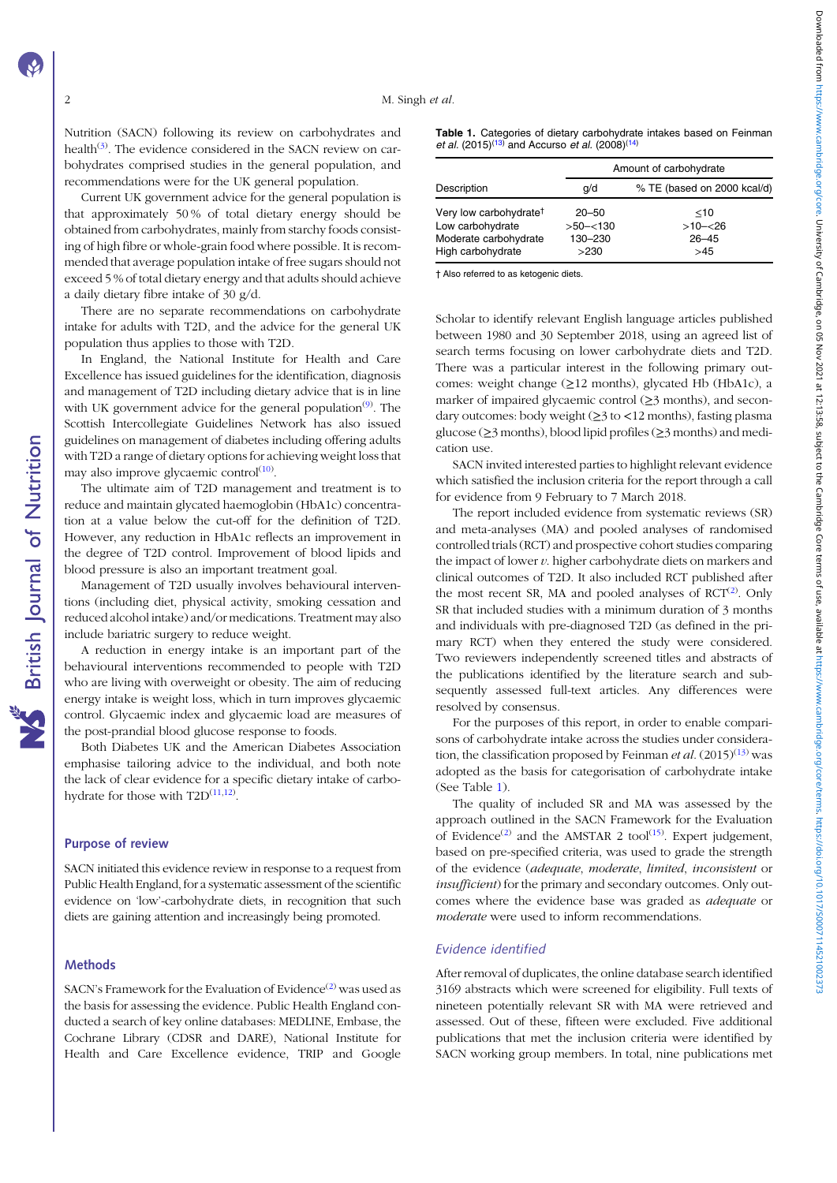Nutrition (SACN) following its review on carbohydrates and health<sup>[\(3](#page-4-0))</sup>. The evidence considered in the SACN review on carbohydrates comprised studies in the general population, and recommendations were for the UK general population.

Current UK government advice for the general population is that approximately 50 % of total dietary energy should be obtained from carbohydrates, mainly from starchy foods consisting of high fibre or whole-grain food where possible. It is recommended that average population intake of free sugars should not exceed 5 % of total dietary energy and that adults should achieve a daily dietary fibre intake of 30 g/d.

There are no separate recommendations on carbohydrate intake for adults with T2D, and the advice for the general UK population thus applies to those with T2D.

In England, the National Institute for Health and Care Excellence has issued guidelines for the identification, diagnosis and management of T2D including dietary advice that is in line with UK government advice for the general population<sup>[\(9](#page-4-0))</sup>. The Scottish Intercollegiate Guidelines Network has also issued guidelines on management of diabetes including offering adults with T2D a range of dietary options for achieving weight loss that may also improve glycaemic control<sup>[\(10\)](#page-4-0)</sup>.

The ultimate aim of T2D management and treatment is to reduce and maintain glycated haemoglobin (HbA1c) concentration at a value below the cut-off for the definition of T2D. However, any reduction in HbA1c reflects an improvement in the degree of T2D control. Improvement of blood lipids and blood pressure is also an important treatment goal.

Management of T2D usually involves behavioural interventions (including diet, physical activity, smoking cessation and reduced alcohol intake) and/or medications. Treatment may also include bariatric surgery to reduce weight.

A reduction in energy intake is an important part of the behavioural interventions recommended to people with T2D who are living with overweight or obesity. The aim of reducing energy intake is weight loss, which in turn improves glycaemic control. Glycaemic index and glycaemic load are measures of the post-prandial blood glucose response to foods.

Both Diabetes UK and the American Diabetes Association emphasise tailoring advice to the individual, and both note the lack of clear evidence for a specific dietary intake of carbohydrate for those with  $T2D^{(11,12)}$  $T2D^{(11,12)}$  $T2D^{(11,12)}$  $T2D^{(11,12)}$ .

#### Purpose of review

SACN initiated this evidence review in response to a request from Public Health England, for a systematic assessment of the scientific evidence on 'low'-carbohydrate diets, in recognition that such diets are gaining attention and increasingly being promoted.

#### **Methods**

SACN's Framework for the Evaluation of Evidence<sup>([2](#page-4-0))</sup> was used as the basis for assessing the evidence. Public Health England conducted a search of key online databases: MEDLINE, Embase, the Cochrane Library (CDSR and DARE), National Institute for Health and Care Excellence evidence, TRIP and Google

|  | Table 1. Categories of dietary carbohydrate intakes based on Feinman    |  |  |
|--|-------------------------------------------------------------------------|--|--|
|  | et al. (2015) <sup>(13)</sup> and Accurso et al. (2008) <sup>(14)</sup> |  |  |

|                                                                                                      |                                             | Amount of carbohydrate                   |  |  |
|------------------------------------------------------------------------------------------------------|---------------------------------------------|------------------------------------------|--|--|
| Description                                                                                          | q/d                                         | % TE (based on 2000 kcal/d)              |  |  |
| Very low carbohydrate <sup>†</sup><br>Low carbohydrate<br>Moderate carbohydrate<br>High carbohydrate | $20 - 50$<br>$>50 - 130$<br>130-230<br>>230 | $<$ 10<br>$>10 - 26$<br>$26 - 45$<br>>45 |  |  |

† Also referred to as ketogenic diets.

Scholar to identify relevant English language articles published between 1980 and 30 September 2018, using an agreed list of search terms focusing on lower carbohydrate diets and T2D. There was a particular interest in the following primary outcomes: weight change (≥12 months), glycated Hb (HbA1c), a marker of impaired glycaemic control  $(\geq)$  months), and secondary outcomes: body weight (≥3 to <12 months), fasting plasma glucose (≥3 months), blood lipid profiles (≥3 months) and medication use.

SACN invited interested parties to highlight relevant evidence which satisfied the inclusion criteria for the report through a call for evidence from 9 February to 7 March 2018.

The report included evidence from systematic reviews (SR) and meta-analyses (MA) and pooled analyses of randomised controlled trials (RCT) and prospective cohort studies comparing the impact of lower  $v$ . higher carbohydrate diets on markers and clinical outcomes of T2D. It also included RCT published after the most recent SR, MA and pooled analyses of  $RCT^{(2)}$  $RCT^{(2)}$  $RCT^{(2)}$ . Only SR that included studies with a minimum duration of 3 months and individuals with pre-diagnosed T2D (as defined in the primary RCT) when they entered the study were considered. Two reviewers independently screened titles and abstracts of the publications identified by the literature search and subsequently assessed full-text articles. Any differences were resolved by consensus.

For the purposes of this report, in order to enable comparisons of carbohydrate intake across the studies under consideration, the classification proposed by Feinman *et al.*  $(2015)^{(13)}$  $(2015)^{(13)}$  $(2015)^{(13)}$  was adopted as the basis for categorisation of carbohydrate intake (See Table 1).

The quality of included SR and MA was assessed by the approach outlined in the SACN Framework for the Evaluation of Evidence<sup>([2\)](#page-4-0)</sup> and the AMSTAR 2 tool<sup>([15](#page-5-0))</sup>. Expert judgement, based on pre-specified criteria, was used to grade the strength of the evidence (adequate, moderate, limited, inconsistent or insufficient) for the primary and secondary outcomes. Only outcomes where the evidence base was graded as adequate or moderate were used to inform recommendations.

#### Evidence identified

After removal of duplicates, the online database search identified 3169 abstracts which were screened for eligibility. Full texts of nineteen potentially relevant SR with MA were retrieved and assessed. Out of these, fifteen were excluded. Five additional publications that met the inclusion criteria were identified by SACN working group members. In total, nine publications met

**NS** British Journal of Nutrition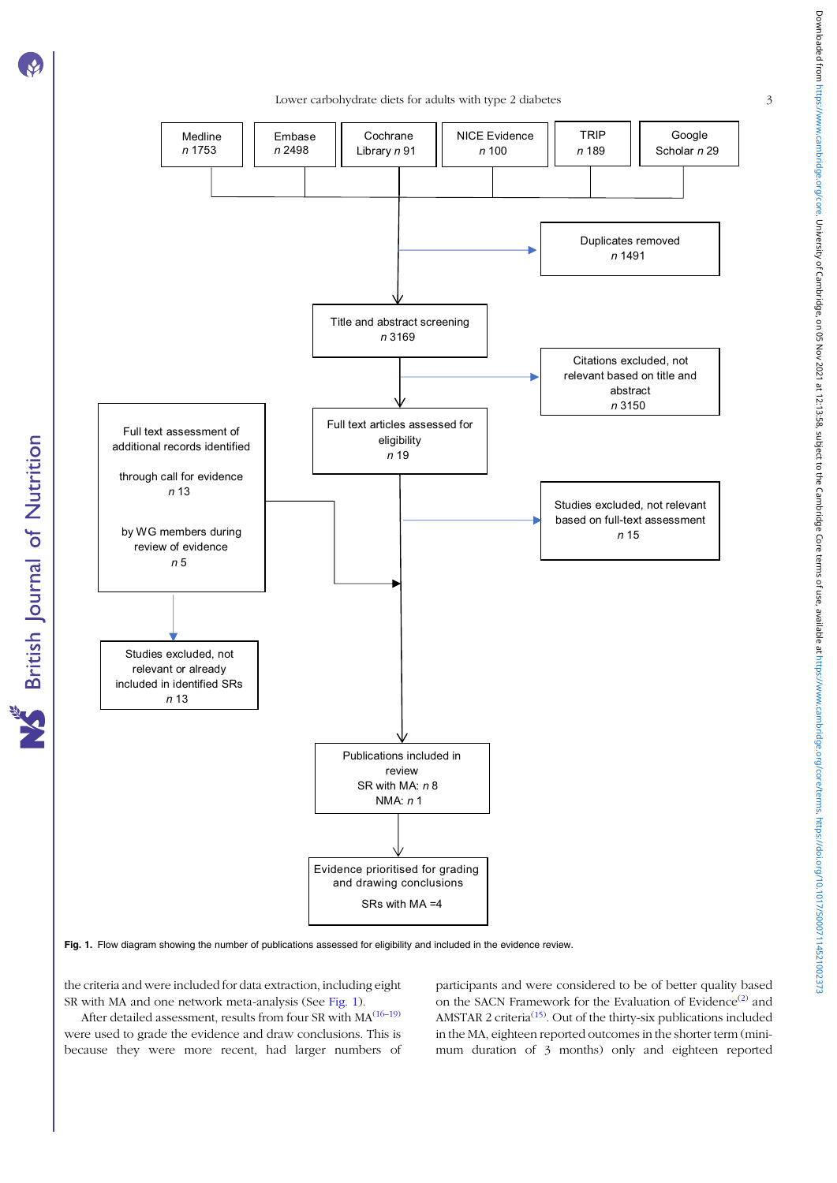**NS** British Journal of Nutrition

Lower carbohydrate diets for adults with type 2 diabetes 3



Fig. 1. Flow diagram showing the number of publications assessed for eligibility and included in the evidence review.

the criteria and were included for data extraction, including eight SR with MA and one network meta-analysis (See Fig. 1).

After detailed assessment, results from four SR with  $MA^{(16-19)}$  $MA^{(16-19)}$  $MA^{(16-19)}$  $MA^{(16-19)}$  $MA^{(16-19)}$ were used to grade the evidence and draw conclusions. This is because they were more recent, had larger numbers of participants and were considered to be of better quality based on the SACN Framework for the Evaluation of Evidence<sup>[\(2](#page-4-0))</sup> and AMSTAR 2 criteria<sup>[\(15](#page-5-0))</sup>. Out of the thirty-six publications included in the MA, eighteen reported outcomes in the shorter term (minimum duration of 3 months) only and eighteen reported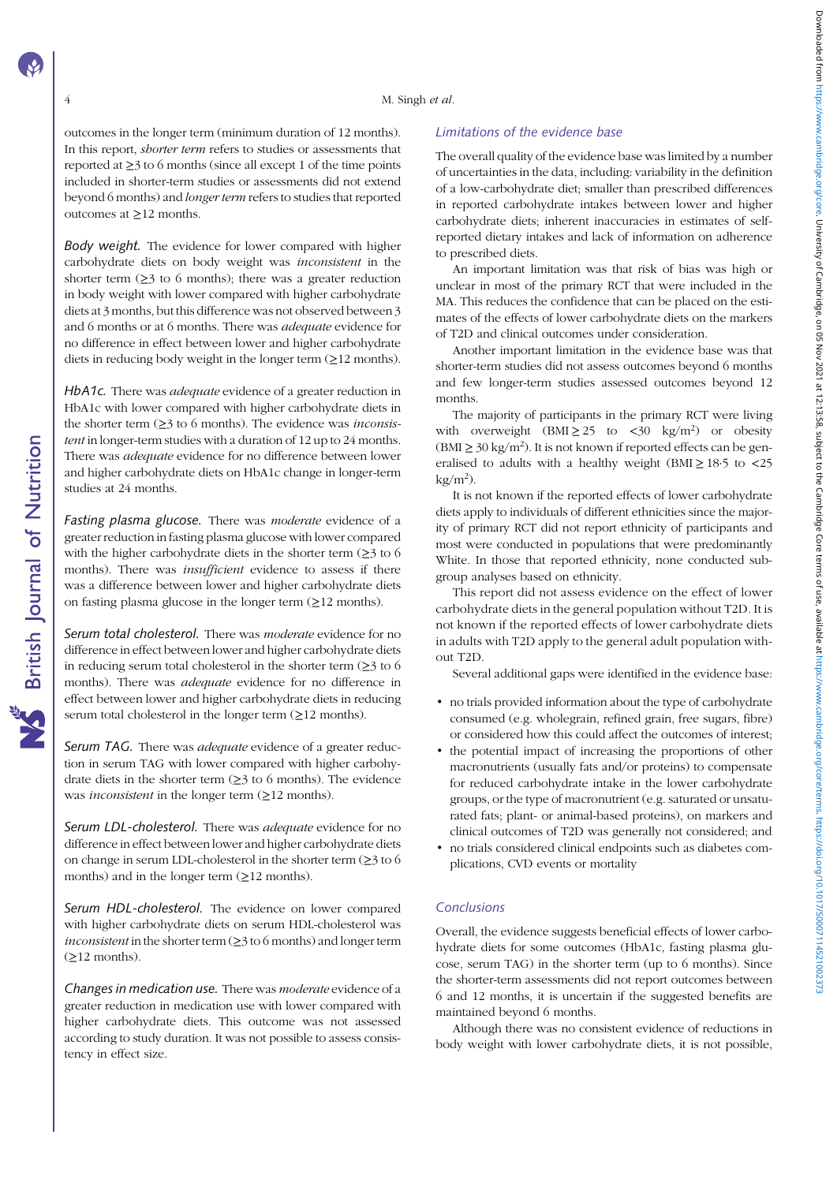## M. Singh et al.

outcomes in the longer term (minimum duration of 12 months). In this report, *shorter term* refers to studies or assessments that reported at  $\geq$ 3 to 6 months (since all except 1 of the time points included in shorter-term studies or assessments did not extend beyond 6 months) and longer term refers to studies that reported outcomes at ≥12 months.

Body weight. The evidence for lower compared with higher carbohydrate diets on body weight was inconsistent in the shorter term  $(\geq)$  to 6 months); there was a greater reduction in body weight with lower compared with higher carbohydrate diets at 3 months, but this difference was not observed between 3 and 6 months or at 6 months. There was adequate evidence for no difference in effect between lower and higher carbohydrate diets in reducing body weight in the longer term  $(\geq 12 \text{ months})$ .

HbA1c. There was adequate evidence of a greater reduction in HbA1c with lower compared with higher carbohydrate diets in the shorter term  $(\geq)$  to 6 months). The evidence was *inconsis*tent in longer-term studies with a duration of 12 up to 24 months. There was *adequate* evidence for no difference between lower and higher carbohydrate diets on HbA1c change in longer-term studies at 24 months.

Fasting plasma glucose. There was *moderate* evidence of a greater reduction in fasting plasma glucose with lower compared with the higher carbohydrate diets in the shorter term  $(≥3$  to 6 months). There was *insufficient* evidence to assess if there was a difference between lower and higher carbohydrate diets on fasting plasma glucose in the longer term  $(\geq 12 \text{ months})$ .

Serum total cholesterol. There was *moderate* evidence for no difference in effect between lower and higher carbohydrate diets in reducing serum total cholesterol in the shorter term  $(\geq)$  to 6 months). There was adequate evidence for no difference in effect between lower and higher carbohydrate diets in reducing serum total cholesterol in the longer term  $(≥12$  months).

Serum TAG. There was *adequate* evidence of a greater reduction in serum TAG with lower compared with higher carbohydrate diets in the shorter term  $(≥3$  to 6 months). The evidence was *inconsistent* in the longer term  $(≥12$  months).

Serum LDL-cholesterol. There was adequate evidence for no difference in effect between lower and higher carbohydrate diets on change in serum LDL-cholesterol in the shorter term (≥3 to 6 months) and in the longer term  $(\geq 12 \text{ months})$ .

Serum HDL-cholesterol. The evidence on lower compared with higher carbohydrate diets on serum HDL-cholesterol was *inconsistent* in the shorter term  $(\geq)$  to 6 months) and longer term  $(≥12$  months).

Changes in medication use. There was moderate evidence of a greater reduction in medication use with lower compared with higher carbohydrate diets. This outcome was not assessed according to study duration. It was not possible to assess consistency in effect size.

## Limitations of the evidence base

The overall quality of the evidence base was limited by a number of uncertainties in the data, including: variability in the definition of a low-carbohydrate diet; smaller than prescribed differences in reported carbohydrate intakes between lower and higher carbohydrate diets; inherent inaccuracies in estimates of selfreported dietary intakes and lack of information on adherence to prescribed diets.

An important limitation was that risk of bias was high or unclear in most of the primary RCT that were included in the MA. This reduces the confidence that can be placed on the estimates of the effects of lower carbohydrate diets on the markers of T2D and clinical outcomes under consideration.

Another important limitation in the evidence base was that shorter-term studies did not assess outcomes beyond 6 months and few longer-term studies assessed outcomes beyond 12 months.

The majority of participants in the primary RCT were living with overweight  $(BMI \geq 25$  to <30 kg/m<sup>2</sup>) or obesity  $(BMI \geq 30 \text{ kg/m}^2)$ . It is not known if reported effects can be generalised to adults with a healthy weight (BMI $\geq$  18.5 to <25  $kg/m<sup>2</sup>$ ).

It is not known if the reported effects of lower carbohydrate diets apply to individuals of different ethnicities since the majority of primary RCT did not report ethnicity of participants and most were conducted in populations that were predominantly White. In those that reported ethnicity, none conducted subgroup analyses based on ethnicity.

This report did not assess evidence on the effect of lower carbohydrate diets in the general population without T2D. It is not known if the reported effects of lower carbohydrate diets in adults with T2D apply to the general adult population without T2D.

Several additional gaps were identified in the evidence base:

- no trials provided information about the type of carbohydrate consumed (e.g. wholegrain, refined grain, free sugars, fibre) or considered how this could affect the outcomes of interest;
- the potential impact of increasing the proportions of other macronutrients (usually fats and/or proteins) to compensate for reduced carbohydrate intake in the lower carbohydrate groups, or the type of macronutrient (e.g. saturated or unsaturated fats; plant- or animal-based proteins), on markers and clinical outcomes of T2D was generally not considered; and
- no trials considered clinical endpoints such as diabetes complications, CVD events or mortality

#### Conclusions

Overall, the evidence suggests beneficial effects of lower carbohydrate diets for some outcomes (HbA1c, fasting plasma glucose, serum TAG) in the shorter term (up to 6 months). Since the shorter-term assessments did not report outcomes between 6 and 12 months, it is uncertain if the suggested benefits are maintained beyond 6 months.

Although there was no consistent evidence of reductions in body weight with lower carbohydrate diets, it is not possible,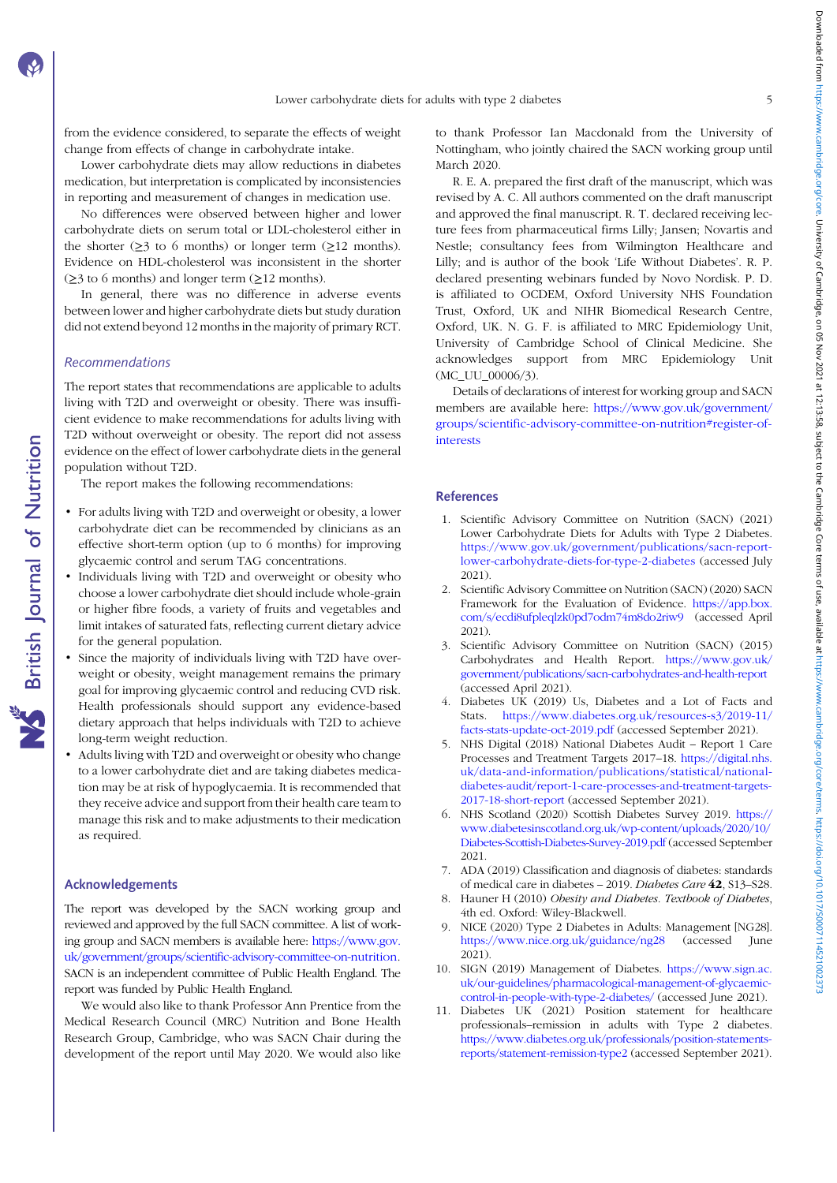<span id="page-4-0"></span>from the evidence considered, to separate the effects of weight change from effects of change in carbohydrate intake.

Lower carbohydrate diets may allow reductions in diabetes medication, but interpretation is complicated by inconsistencies in reporting and measurement of changes in medication use.

No differences were observed between higher and lower carbohydrate diets on serum total or LDL-cholesterol either in the shorter  $(\geq)$  to 6 months) or longer term  $(\geq)12$  months). Evidence on HDL-cholesterol was inconsistent in the shorter  $(\geq)$  to 6 months) and longer term  $(\geq)12$  months).

In general, there was no difference in adverse events between lower and higher carbohydrate diets but study duration did not extend beyond 12 months in the majority of primary RCT.

## Recommendations

The report states that recommendations are applicable to adults living with T2D and overweight or obesity. There was insufficient evidence to make recommendations for adults living with T2D without overweight or obesity. The report did not assess evidence on the effect of lower carbohydrate diets in the general population without T2D.

The report makes the following recommendations:

- For adults living with T2D and overweight or obesity, a lower carbohydrate diet can be recommended by clinicians as an effective short-term option (up to 6 months) for improving glycaemic control and serum TAG concentrations.
- Individuals living with T2D and overweight or obesity who choose a lower carbohydrate diet should include whole-grain or higher fibre foods, a variety of fruits and vegetables and limit intakes of saturated fats, reflecting current dietary advice for the general population.
- Since the majority of individuals living with T2D have overweight or obesity, weight management remains the primary goal for improving glycaemic control and reducing CVD risk. Health professionals should support any evidence-based dietary approach that helps individuals with T2D to achieve long-term weight reduction.
- Adults living with T2D and overweight or obesity who change to a lower carbohydrate diet and are taking diabetes medication may be at risk of hypoglycaemia. It is recommended that they receive advice and support from their health care team to manage this risk and to make adjustments to their medication as required.

#### Acknowledgements

The report was developed by the SACN working group and reviewed and approved by the full SACN committee. A list of working group and SACN members is available here: [https://www.gov.](https://www.gov.uk/government/groups/scientific-advisory-committee-on-nutrition) [uk/government/groups/scientific-advisory-committee-on-nutrition.](https://www.gov.uk/government/groups/scientific-advisory-committee-on-nutrition) SACN is an independent committee of Public Health England. The report was funded by Public Health England.

We would also like to thank Professor Ann Prentice from the Medical Research Council (MRC) Nutrition and Bone Health Research Group, Cambridge, who was SACN Chair during the development of the report until May 2020. We would also like to thank Professor Ian Macdonald from the University of Nottingham, who jointly chaired the SACN working group until March 2020.

R. E. A. prepared the first draft of the manuscript, which was revised by A. C. All authors commented on the draft manuscript and approved the final manuscript. R. T. declared receiving lecture fees from pharmaceutical firms Lilly; Jansen; Novartis and Nestle; consultancy fees from Wilmington Healthcare and Lilly; and is author of the book 'Life Without Diabetes'. R. P. declared presenting webinars funded by Novo Nordisk. P. D. is affiliated to OCDEM, Oxford University NHS Foundation Trust, Oxford, UK and NIHR Biomedical Research Centre, Oxford, UK. N. G. F. is affiliated to MRC Epidemiology Unit, University of Cambridge School of Clinical Medicine. She acknowledges support from MRC Epidemiology Unit (MC\_UU\_00006/3).

Details of declarations of interest for working group and SACN members are available here: [https://www.gov.uk/government/](https://www.gov.uk/government/groups/scientific-advisory-committee-on-nutrition#register-of-interests) [groups/scientific-advisory-committee-on-nutrition#register-of](https://www.gov.uk/government/groups/scientific-advisory-committee-on-nutrition#register-of-interests)[interests](https://www.gov.uk/government/groups/scientific-advisory-committee-on-nutrition#register-of-interests)

#### **References**

- 1. Scientific Advisory Committee on Nutrition (SACN) (2021) Lower Carbohydrate Diets for Adults with Type 2 Diabetes. [https://www.gov.uk/government/publications/sacn-report](https://www.gov.uk/government/publications/sacn-report-lower-carbohydrate-diets-for-type-2-diabetes)[lower-carbohydrate-diets-for-type-2-diabetes](https://www.gov.uk/government/publications/sacn-report-lower-carbohydrate-diets-for-type-2-diabetes) (accessed July 2021).
- 2. Scientific Advisory Committee on Nutrition (SACN) (2020) SACN Framework for the Evaluation of Evidence. [https://app.box.](https://app.box.com/s/ecdi8ufpleqlzk0pd7odm74m8do2riw9) [com/s/ecdi8ufpleqlzk0pd7odm74m8do2riw9](https://app.box.com/s/ecdi8ufpleqlzk0pd7odm74m8do2riw9) (accessed April 2021).
- 3. Scientific Advisory Committee on Nutrition (SACN) (2015) Carbohydrates and Health Report. [https://www.gov.uk/](https://www.gov.uk/government/publications/sacn-carbohydrates-and-health-report) [government/publications/sacn-carbohydrates-and-health-report](https://www.gov.uk/government/publications/sacn-carbohydrates-and-health-report) (accessed April 2021).
- 4. Diabetes UK (2019) Us, Diabetes and a Lot of Facts and Stats. [https://www.diabetes.org.uk/resources-s3/2019-11/](https://www.diabetes.org.uk/resources-s3/2019-11/facts-stats-update-oct-2019.pdf) [facts-stats-update-oct-2019.pdf](https://www.diabetes.org.uk/resources-s3/2019-11/facts-stats-update-oct-2019.pdf) (accessed September 2021).
- 5. NHS Digital (2018) National Diabetes Audit Report 1 Care Processes and Treatment Targets 2017–18. [https://digital.nhs.](https://digital.nhs.uk/data-and-information/publications/statistical/national-diabetes-audit/report-1-care-processes-and-treatment-targets-2017-18-short-report) [uk/data-and-information/publications/statistical/national](https://digital.nhs.uk/data-and-information/publications/statistical/national-diabetes-audit/report-1-care-processes-and-treatment-targets-2017-18-short-report)[diabetes-audit/report-1-care-processes-and-treatment-targets-](https://digital.nhs.uk/data-and-information/publications/statistical/national-diabetes-audit/report-1-care-processes-and-treatment-targets-2017-18-short-report)[2017-18-short-report](https://digital.nhs.uk/data-and-information/publications/statistical/national-diabetes-audit/report-1-care-processes-and-treatment-targets-2017-18-short-report) (accessed September 2021).
- 6. NHS Scotland (2020) Scottish Diabetes Survey 2019. [https://](https://www.diabetesinscotland.org.uk/wp-content/uploads/2020/10/Diabetes-Scottish-Diabetes-Survey-2019.pdf) [www.diabetesinscotland.org.uk/wp-content/uploads/2020/10/](https://www.diabetesinscotland.org.uk/wp-content/uploads/2020/10/Diabetes-Scottish-Diabetes-Survey-2019.pdf) [Diabetes-Scottish-Diabetes-Survey-2019.pdf](https://www.diabetesinscotland.org.uk/wp-content/uploads/2020/10/Diabetes-Scottish-Diabetes-Survey-2019.pdf) (accessed September 2021.
- 7. ADA (2019) Classification and diagnosis of diabetes: standards of medical care in diabetes – 2019. Diabetes Care 42, S13–S28.
- 8. Hauner H (2010) Obesity and Diabetes. Textbook of Diabetes, 4th ed. Oxford: Wiley-Blackwell.
- NICE (2020) Type 2 Diabetes in Adults: Management [NG28]. <https://www.nice.org.uk/guidance/ng28> (accessed June 2021).
- 10. SIGN (2019) Management of Diabetes. [https://www.sign.ac.](https://www.sign.ac.uk/our-guidelines/pharmacological-management-of-glycaemic-control-in-people-with-type-2-diabetes/) [uk/our-guidelines/pharmacological-management-of-glycaemic](https://www.sign.ac.uk/our-guidelines/pharmacological-management-of-glycaemic-control-in-people-with-type-2-diabetes/)[control-in-people-with-type-2-diabetes/](https://www.sign.ac.uk/our-guidelines/pharmacological-management-of-glycaemic-control-in-people-with-type-2-diabetes/) (accessed June 2021).
- 11. Diabetes UK (2021) Position statement for healthcare professionals–remission in adults with Type 2 diabetes. [https://www.diabetes.org.uk/professionals/position-statements](https://www.diabetes.org.uk/resources-s3/201712/1302_Remission%20Position%20Statement_v1_92kb.pdf)[reports/statement-remission-type2](https://www.diabetes.org.uk/resources-s3/201712/1302_Remission%20Position%20Statement_v1_92kb.pdf) (accessed September 2021).